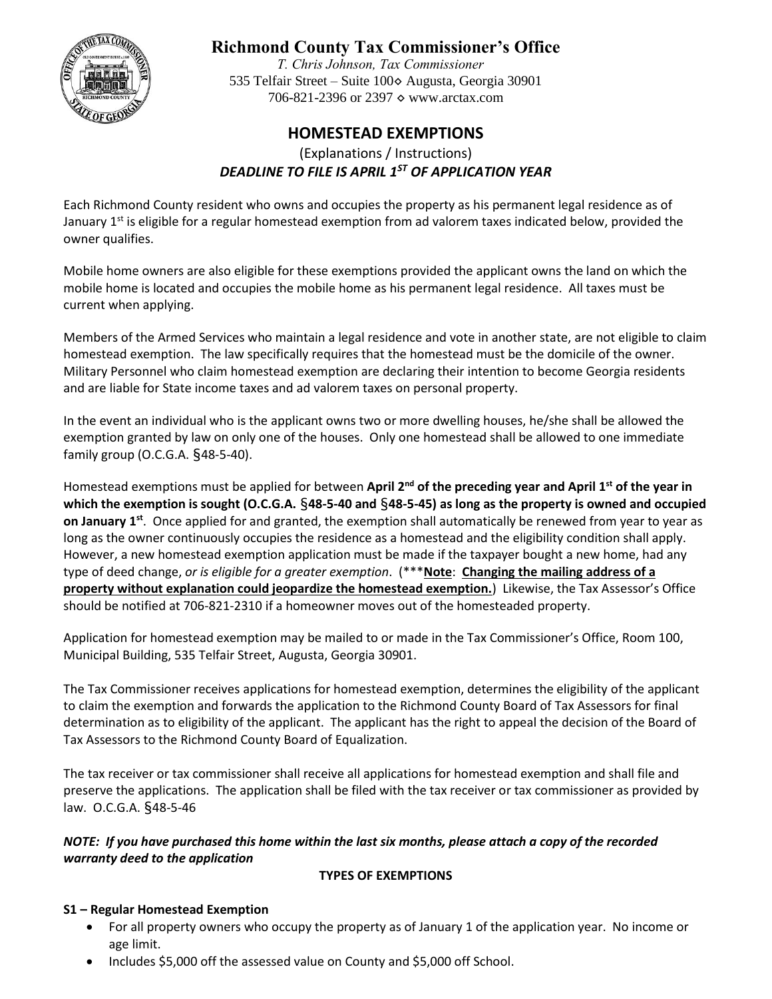

# **Richmond County Tax Commissioner's Office**

*T. Chris Johnson, Tax Commissioner*  535 Telfair Street – Suite 100◊ Augusta, Georgia 30901 706-821-2396 or 2397 ♦ www.arctax.com

## **HOMESTEAD EXEMPTIONS**

(Explanations / Instructions) *DEADLINE TO FILE IS APRIL 1ST OF APPLICATION YEAR*

Each Richmond County resident who owns and occupies the property as his permanent legal residence as of January 1<sup>st</sup> is eligible for a regular homestead exemption from ad valorem taxes indicated below, provided the owner qualifies.

Mobile home owners are also eligible for these exemptions provided the applicant owns the land on which the mobile home is located and occupies the mobile home as his permanent legal residence. All taxes must be current when applying.

Members of the Armed Services who maintain a legal residence and vote in another state, are not eligible to claim homestead exemption. The law specifically requires that the homestead must be the domicile of the owner. Military Personnel who claim homestead exemption are declaring their intention to become Georgia residents and are liable for State income taxes and ad valorem taxes on personal property.

In the event an individual who is the applicant owns two or more dwelling houses, he/she shall be allowed the exemption granted by law on only one of the houses. Only one homestead shall be allowed to one immediate family group (O.C.G.A. §48-5-40).

Homestead exemptions must be applied for between **April 2nd of the preceding year and April 1st of the year in which the exemption is sought (O.C.G.A.** §**48-5-40 and** §**48-5-45) as long as the property is owned and occupied on January 1st**. Once applied for and granted, the exemption shall automatically be renewed from year to year as long as the owner continuously occupies the residence as a homestead and the eligibility condition shall apply. However, a new homestead exemption application must be made if the taxpayer bought a new home, had any type of deed change, *or is eligible for a greater exemption*. (\*\*\***Note**: **Changing the mailing address of a property without explanation could jeopardize the homestead exemption.**) Likewise, the Tax Assessor's Office should be notified at 706-821-2310 if a homeowner moves out of the homesteaded property.

Application for homestead exemption may be mailed to or made in the Tax Commissioner's Office, Room 100, Municipal Building, 535 Telfair Street, Augusta, Georgia 30901.

The Tax Commissioner receives applications for homestead exemption, determines the eligibility of the applicant to claim the exemption and forwards the application to the Richmond County Board of Tax Assessors for final determination as to eligibility of the applicant. The applicant has the right to appeal the decision of the Board of Tax Assessors to the Richmond County Board of Equalization.

The tax receiver or tax commissioner shall receive all applications for homestead exemption and shall file and preserve the applications. The application shall be filed with the tax receiver or tax commissioner as provided by law. O.C.G.A. §48-5-46

*NOTE: If you have purchased this home within the last six months, please attach a copy of the recorded warranty deed to the application*

#### **TYPES OF EXEMPTIONS**

#### **S1 – Regular Homestead Exemption**

- For all property owners who occupy the property as of January 1 of the application year. No income or age limit.
- Includes \$5,000 off the assessed value on County and \$5,000 off School.